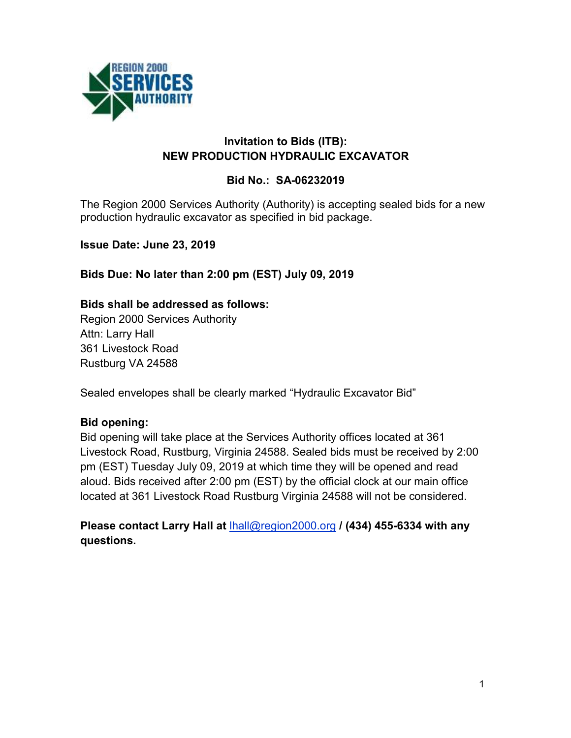

#### **Invitation to Bids (ITB): NEW PRODUCTION HYDRAULIC EXCAVATOR**

#### **Bid No.: SA-06232019**

The Region 2000 Services Authority (Authority) is accepting sealed bids for a new production hydraulic excavator as specified in bid package.

**Issue Date: June 23, 2019**

**Bids Due: No later than 2:00 pm (EST) July 09, 2019**

**Bids shall be addressed as follows:**

Region 2000 Services Authority Attn: Larry Hall 361 Livestock Road Rustburg VA 24588

Sealed envelopes shall be clearly marked "Hydraulic Excavator Bid"

#### **Bid opening:**

Bid opening will take place at the Services Authority offices located at 361 Livestock Road, Rustburg, Virginia 24588. Sealed bids must be received by 2:00 pm (EST) Tuesday July 09, 2019 at which time they will be opened and read aloud. Bids received after 2:00 pm (EST) by the official clock at our main office located at 361 Livestock Road Rustburg Virginia 24588 will not be considered.

**Please contact Larry Hall at** [lhall@region2000.org](mailto:lhall@region2000.org) **/ (434) 455-6334 with any questions.**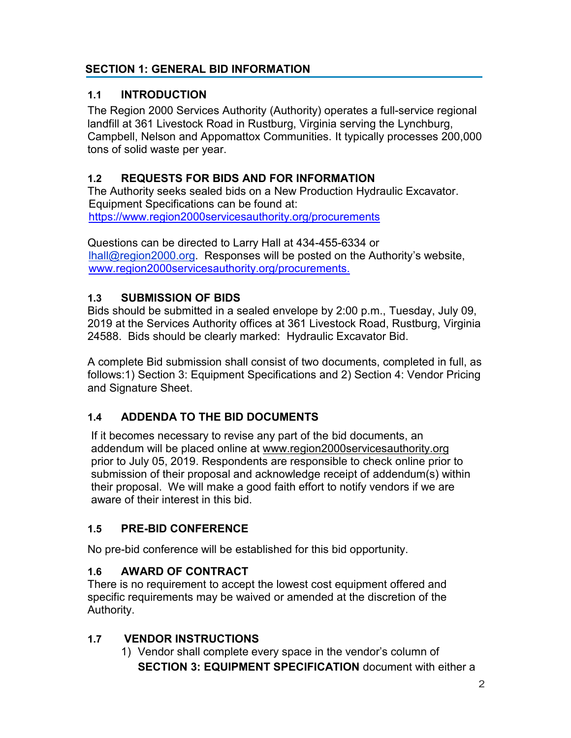## **SECTION 1: GENERAL BID INFORMATION**

## **1.1 INTRODUCTION**

The Region 2000 Services Authority (Authority) operates a full-service regional landfill at 361 Livestock Road in Rustburg, Virginia serving the Lynchburg, Campbell, Nelson and Appomattox Communities. It typically processes 200,000 tons of solid waste per year.

# **1.2 REQUESTS FOR BIDS AND FOR INFORMATION**

The Authority seeks sealed bids on a New Production Hydraulic Excavator. Equipment Specifications can be found at: <https://www.region2000servicesauthority.org/procurements>

Questions can be directed to Larry Hall at 434-455-6334 or [lhall@region2000.org.](mailto:lhall@region2000.org) Responses will be posted on the Authority's website, [www.region2000servicesauthority.org/procurements.](https://www.region2000servicesauthority.org/procurements)

# **1.3 SUBMISSION OF BIDS**

Bids should be submitted in a sealed envelope by 2:00 p.m., Tuesday, July 09, 2019 at the Services Authority offices at 361 Livestock Road, Rustburg, Virginia 24588. Bids should be clearly marked: Hydraulic Excavator Bid.

A complete Bid submission shall consist of two documents, completed in full, as follows:1) Section 3: Equipment Specifications and 2) Section 4: Vendor Pricing and Signature Sheet.

# **1.4 ADDENDA TO THE BID DOCUMENTS**

If it becomes necessary to revise any part of the bid documents, an addendum will be placed online at [www.region2000servicesauthority.org](http://www.region2000servicesauthority.org/) prior to July 05, 2019. Respondents are responsible to check online prior to submission of their proposal and acknowledge receipt of addendum(s) within their proposal. We will make a good faith effort to notify vendors if we are aware of their interest in this bid.

## **1.5 PRE-BID CONFERENCE**

No pre-bid conference will be established for this bid opportunity.

## **1.6 AWARD OF CONTRACT**

There is no requirement to accept the lowest cost equipment offered and specific requirements may be waived or amended at the discretion of the Authority.

# **1.7 VENDOR INSTRUCTIONS**

1) Vendor shall complete every space in the vendor's column of **SECTION 3: EQUIPMENT SPECIFICATION** document with either a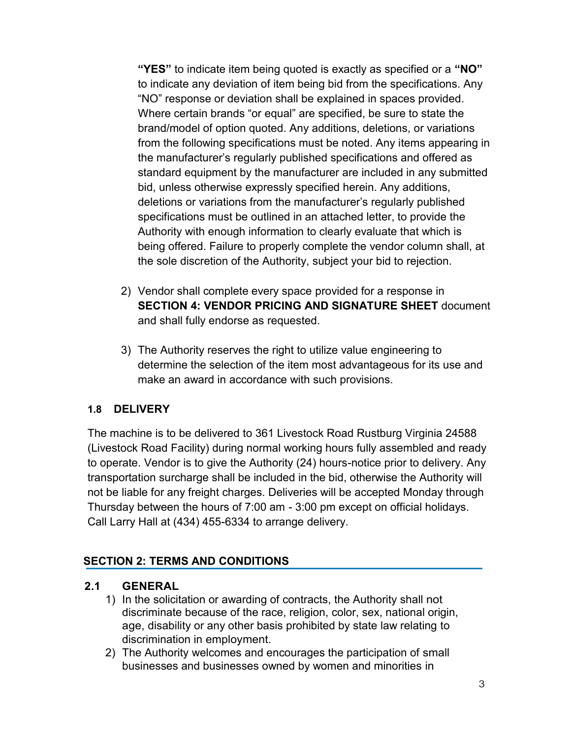**"YES"** to indicate item being quoted is exactly as specified or a **"NO"** to indicate any deviation of item being bid from the specifications. Any "NO" response or deviation shall be explained in spaces provided. Where certain brands "or equal" are specified, be sure to state the brand/model of option quoted. Any additions, deletions, or variations from the following specifications must be noted. Any items appearing in the manufacturer's regularly published specifications and offered as standard equipment by the manufacturer are included in any submitted bid, unless otherwise expressly specified herein. Any additions, deletions or variations from the manufacturer's regularly published specifications must be outlined in an attached letter, to provide the Authority with enough information to clearly evaluate that which is being offered. Failure to properly complete the vendor column shall, at the sole discretion of the Authority, subject your bid to rejection.

- 2) Vendor shall complete every space provided for a response in **SECTION 4: VENDOR PRICING AND SIGNATURE SHEET** document and shall fully endorse as requested.
- 3) The Authority reserves the right to utilize value engineering to determine the selection of the item most advantageous for its use and make an award in accordance with such provisions.

## **1.8 DELIVERY**

The machine is to be delivered to 361 Livestock Road Rustburg Virginia 24588 (Livestock Road Facility) during normal working hours fully assembled and ready to operate. Vendor is to give the Authority (24) hours-notice prior to delivery. Any transportation surcharge shall be included in the bid, otherwise the Authority will not be liable for any freight charges. Deliveries will be accepted Monday through Thursday between the hours of 7:00 am - 3:00 pm except on official holidays. Call Larry Hall at (434) 455-6334 to arrange delivery.

## **SECTION 2: TERMS AND CONDITIONS**

#### **2.1 GENERAL**

- 1) In the solicitation or awarding of contracts, the Authority shall not discriminate because of the race, religion, color, sex, national origin, age, disability or any other basis prohibited by state law relating to discrimination in employment.
- 2) The Authority welcomes and encourages the participation of small businesses and businesses owned by women and minorities in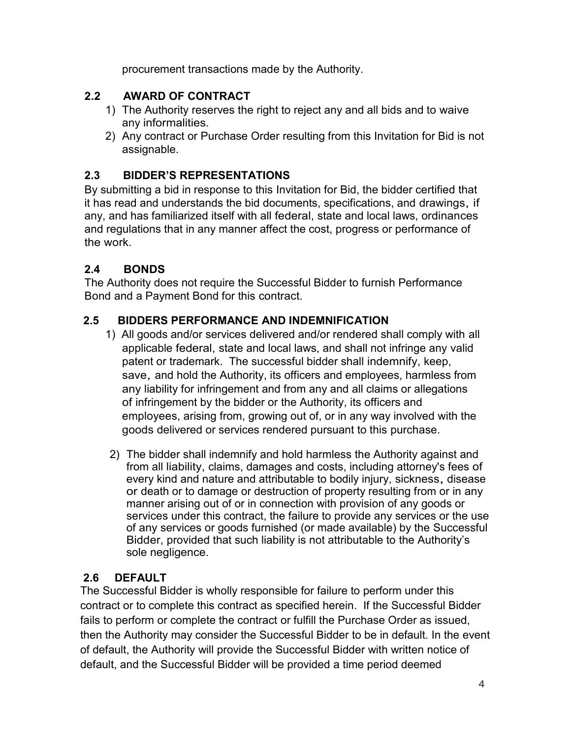procurement transactions made by the Authority.

## **2.2 AWARD OF CONTRACT**

- 1) The Authority reserves the right to reject any and all bids and to waive any informalities.
- 2) Any contract or Purchase Order resulting from this Invitation for Bid is not assignable.

## **2.3 BIDDER'S REPRESENTATIONS**

By submitting a bid in response to this Invitation for Bid, the bidder certified that it has read and understands the bid documents, specifications, and drawings, if any, and has familiarized itself with all federal, state and local laws, ordinances and regulations that in any manner affect the cost, progress or performance of the work.

# **2.4 BONDS**

The Authority does not require the Successful Bidder to furnish Performance Bond and a Payment Bond for this contract.

#### **2.5 BIDDERS PERFORMANCE AND INDEMNIFICATION**

- 1) All goods and/or services delivered and/or rendered shall comply with all applicable federal, state and local laws, and shall not infringe any valid patent or trademark. The successful bidder shall indemnify, keep, save, and hold the Authority, its officers and employees, harmless from any liability for infringement and from any and all claims or allegations of infringement by the bidder or the Authority, its officers and employees, arising from, growing out of, or in any way involved with the goods delivered or services rendered pursuant to this purchase.
- 2) The bidder shall indemnify and hold harmless the Authority against and from all liability, claims, damages and costs, including attorney's fees of every kind and nature and attributable to bodily injury, sickness, disease or death or to damage or destruction of property resulting from or in any manner arising out of or in connection with provision of any goods or services under this contract, the failure to provide any services or the use of any services or goods furnished (or made available) by the Successful Bidder, provided that such liability is not attributable to the Authority's sole negligence.

## **2.6 DEFAULT**

The Successful Bidder is wholly responsible for failure to perform under this contract or to complete this contract as specified herein. If the Successful Bidder fails to perform or complete the contract or fulfill the Purchase Order as issued, then the Authority may consider the Successful Bidder to be in default. In the event of default, the Authority will provide the Successful Bidder with written notice of default, and the Successful Bidder will be provided a time period deemed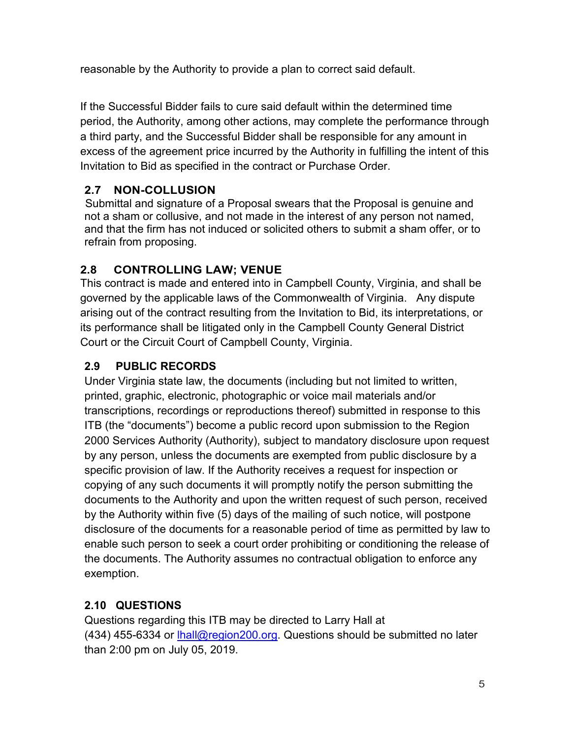reasonable by the Authority to provide a plan to correct said default.

If the Successful Bidder fails to cure said default within the determined time period, the Authority, among other actions, may complete the performance through a third party, and the Successful Bidder shall be responsible for any amount in excess of the agreement price incurred by the Authority in fulfilling the intent of this Invitation to Bid as specified in the contract or Purchase Order.

# **2.7 NON-COLLUSION**

Submittal and signature of a Proposal swears that the Proposal is genuine and not a sham or collusive, and not made in the interest of any person not named, and that the firm has not induced or solicited others to submit a sham offer, or to refrain from proposing.

# **2.8 CONTROLLING LAW; VENUE**

This contract is made and entered into in Campbell County, Virginia, and shall be governed by the applicable laws of the Commonwealth of Virginia. Any dispute arising out of the contract resulting from the Invitation to Bid, its interpretations, or its performance shall be litigated only in the Campbell County General District Court or the Circuit Court of Campbell County, Virginia.

# **2.9 PUBLIC RECORDS**

Under Virginia state law, the documents (including but not limited to written, printed, graphic, electronic, photographic or voice mail materials and/or transcriptions, recordings or reproductions thereof) submitted in response to this ITB (the "documents") become a public record upon submission to the Region 2000 Services Authority (Authority), subject to mandatory disclosure upon request by any person, unless the documents are exempted from public disclosure by a specific provision of law. If the Authority receives a request for inspection or copying of any such documents it will promptly notify the person submitting the documents to the Authority and upon the written request of such person, received by the Authority within five (5) days of the mailing of such notice, will postpone disclosure of the documents for a reasonable period of time as permitted by law to enable such person to seek a court order prohibiting or conditioning the release of the documents. The Authority assumes no contractual obligation to enforce any exemption.

# **2.10 QUESTIONS**

Questions regarding this ITB may be directed to Larry Hall at (434) 455-6334 or [lhall@region200.org.](mailto:lhall@region200.org) Questions should be submitted no later than 2:00 pm on July 05, 2019.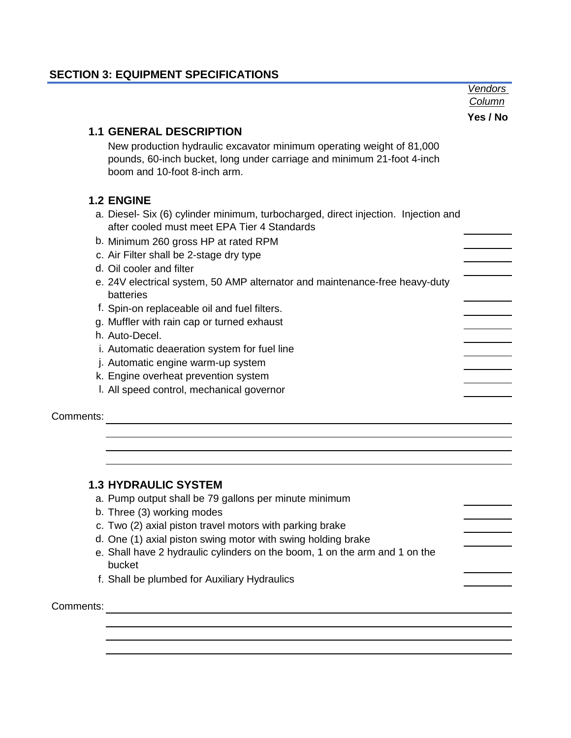#### **SECTION 3: EQUIPMENT SPECIFICATIONS**

|           |                                                                                                                                                                                 | <b>Vendors</b> |
|-----------|---------------------------------------------------------------------------------------------------------------------------------------------------------------------------------|----------------|
|           |                                                                                                                                                                                 | Column         |
|           |                                                                                                                                                                                 | Yes / No       |
|           | <b>1.1 GENERAL DESCRIPTION</b>                                                                                                                                                  |                |
|           | New production hydraulic excavator minimum operating weight of 81,000<br>pounds, 60-inch bucket, long under carriage and minimum 21-foot 4-inch<br>boom and 10-foot 8-inch arm. |                |
|           | <b>1.2 ENGINE</b>                                                                                                                                                               |                |
|           | a. Diesel- Six (6) cylinder minimum, turbocharged, direct injection. Injection and<br>after cooled must meet EPA Tier 4 Standards                                               |                |
|           | b. Minimum 260 gross HP at rated RPM                                                                                                                                            |                |
|           | c. Air Filter shall be 2-stage dry type                                                                                                                                         |                |
|           | d. Oil cooler and filter                                                                                                                                                        |                |
|           | e. 24V electrical system, 50 AMP alternator and maintenance-free heavy-duty<br>batteries                                                                                        |                |
|           | f. Spin-on replaceable oil and fuel filters.                                                                                                                                    |                |
|           | g. Muffler with rain cap or turned exhaust                                                                                                                                      |                |
|           | h. Auto-Decel.                                                                                                                                                                  |                |
|           | i. Automatic deaeration system for fuel line                                                                                                                                    |                |
|           | j. Automatic engine warm-up system                                                                                                                                              |                |
|           | k. Engine overheat prevention system                                                                                                                                            |                |
|           | I. All speed control, mechanical governor                                                                                                                                       |                |
| Comments: |                                                                                                                                                                                 |                |

#### **1.3 HYDRAULIC SYSTEM**

- a. Pump output shall be 79 gallons per minute minimum
- b. Three (3) working modes
- c. Two (2) axial piston travel motors with parking brake
- d. One (1) axial piston swing motor with swing holding brake
- e. Shall have 2 hydraulic cylinders on the boom, 1 on the arm and 1 on the bucket
- f. Shall be plumbed for Auxiliary Hydraulics

# Comments: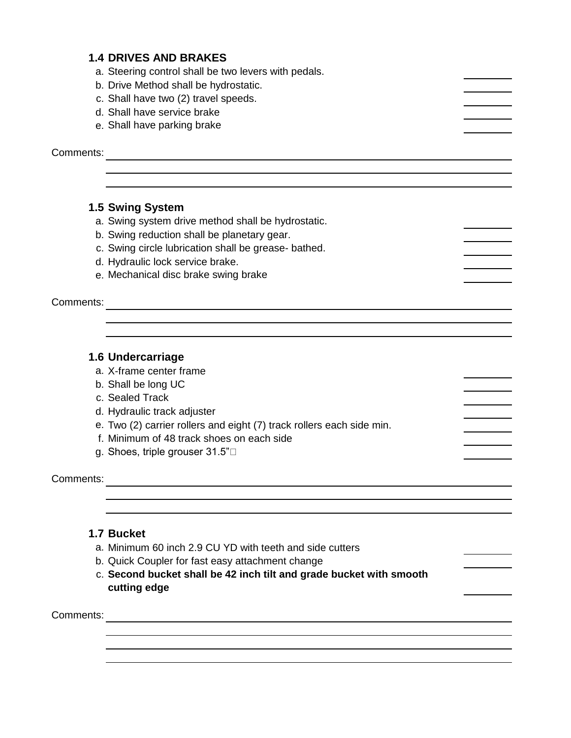#### **1.4 DRIVES AND BRAKES**

a. Steering control shall be two levers with pedals.

- b. Drive Method shall be hydrostatic.
- c. Shall have two (2) travel speeds.
- d. Shall have service brake
- e. Shall have parking brake

Comments:

#### **1.5 Swing System**

- a. Swing system drive method shall be hydrostatic.
- b. Swing reduction shall be planetary gear.
- c. Swing circle lubrication shall be grease- bathed.
- d. Hydraulic lock service brake.
- e. Mechanical disc brake swing brake

**Comments:** example a series of the series of the series of the series of the series of the series of the series of the series of the series of the series of the series of the series of the series of the series of the seri

#### **1.6 Undercarriage**

- a. X-frame center frame
- b. Shall be long UC
- c. Sealed Track
- d. Hydraulic track adjuster
- e. Two (2) carrier rollers and eight (7) track rollers each side min.
- f. Minimum of 48 track shoes on each side
- g. Shoes, triple grouser 31.5"

Comments:

#### **1.7 Bucket**

- a. Minimum 60 inch 2.9 CU YD with teeth and side cutters
- b. Quick Coupler for fast easy attachment change
- c. **Second bucket shall be 42 inch tilt and grade bucket with smooth cutting edge**

Comments: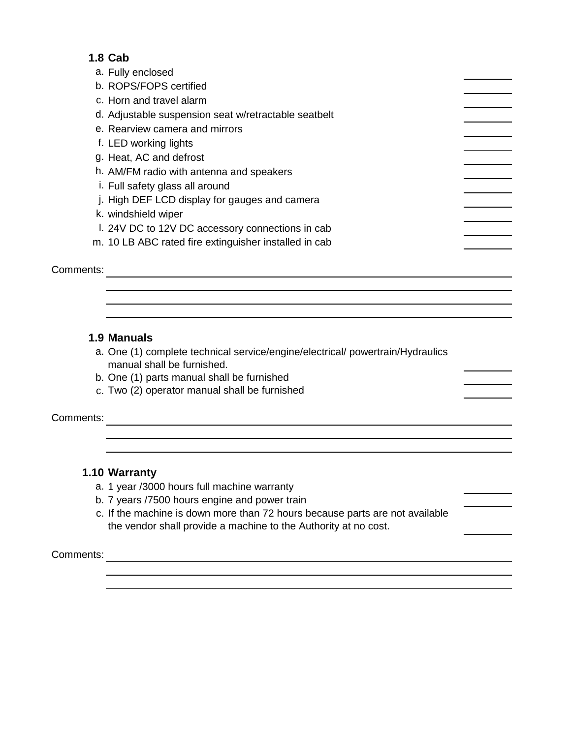#### **1.8 Cab**

| a. Fully enclosed                                     |  |
|-------------------------------------------------------|--|
| b. ROPS/FOPS certified                                |  |
| c. Horn and travel alarm                              |  |
| d. Adjustable suspension seat w/retractable seatbelt  |  |
| e. Rearview camera and mirrors                        |  |
| f. LED working lights                                 |  |
| g. Heat, AC and defrost                               |  |
| h. AM/FM radio with antenna and speakers              |  |
| i. Full safety glass all around                       |  |
| j. High DEF LCD display for gauges and camera         |  |
| k. windshield wiper                                   |  |
| I. 24V DC to 12V DC accessory connections in cab      |  |
| m. 10 LB ABC rated fire extinguisher installed in cab |  |
| Comments:                                             |  |

#### **1.9 Manuals**

- a. One (1) complete technical service/engine/electrical/ powertrain/Hydraulics manual shall be furnished.
- b. One (1) parts manual shall be furnished
- c. Two (2) operator manual shall be furnished

Comments:

#### **1.10 Warranty**

- a. 1 year /3000 hours full machine warranty
- b. 7 years /7500 hours engine and power train
- c. If the machine is down more than 72 hours because parts are not available the vendor shall provide a machine to the Authority at no cost.

Comments: